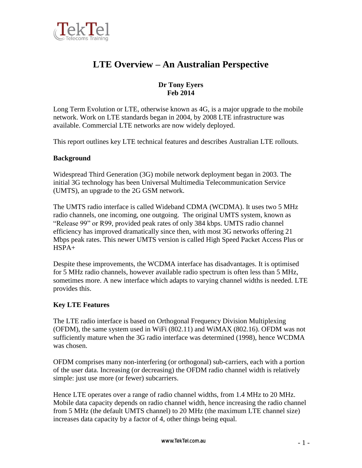

# **LTE Overview – An Australian Perspective**

## **Dr Tony Eyers Feb 2014**

Long Term Evolution or LTE, otherwise known as 4G, is a major upgrade to the mobile network. Work on LTE standards began in 2004, by 2008 LTE infrastructure was available. Commercial LTE networks are now widely deployed.

This report outlines key LTE technical features and describes Australian LTE rollouts.

## **Background**

Widespread Third Generation (3G) mobile network deployment began in 2003. The initial 3G technology has been Universal Multimedia Telecommunication Service (UMTS), an upgrade to the 2G GSM network.

The UMTS radio interface is called Wideband CDMA (WCDMA). It uses two 5 MHz radio channels, one incoming, one outgoing. The original UMTS system, known as "Release 99" or R99, provided peak rates of only 384 kbps. UMTS radio channel efficiency has improved dramatically since then, with most 3G networks offering 21 Mbps peak rates. This newer UMTS version is called High Speed Packet Access Plus or HSPA+

Despite these improvements, the WCDMA interface has disadvantages. It is optimised for 5 MHz radio channels, however available radio spectrum is often less than 5 MHz, sometimes more. A new interface which adapts to varying channel widths is needed. LTE provides this.

#### **Key LTE Features**

The LTE radio interface is based on Orthogonal Frequency Division Multiplexing (OFDM), the same system used in WiFi (802.11) and WiMAX (802.16). OFDM was not sufficiently mature when the 3G radio interface was determined (1998), hence WCDMA was chosen.

OFDM comprises many non-interfering (or orthogonal) sub-carriers, each with a portion of the user data. Increasing (or decreasing) the OFDM radio channel width is relatively simple: just use more (or fewer) subcarriers.

Hence LTE operates over a range of radio channel widths, from 1.4 MHz to 20 MHz. Mobile data capacity depends on radio channel width, hence increasing the radio channel from 5 MHz (the default UMTS channel) to 20 MHz (the maximum LTE channel size) increases data capacity by a factor of 4, other things being equal.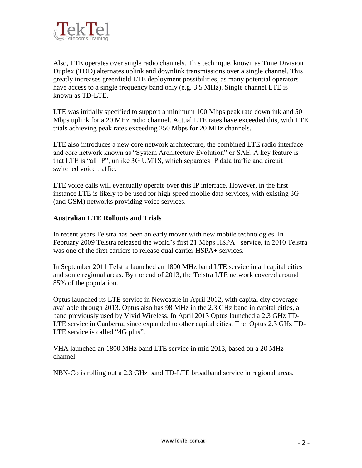

Also, LTE operates over single radio channels. This technique, known as Time Division Duplex (TDD) alternates uplink and downlink transmissions over a single channel. This greatly increases greenfield LTE deployment possibilities, as many potential operators have access to a single frequency band only (e.g. 3.5 MHz). Single channel LTE is known as TD-LTE.

LTE was initially specified to support a minimum 100 Mbps peak rate downlink and 50 Mbps uplink for a 20 MHz radio channel. Actual LTE rates have exceeded this, with LTE trials achieving peak rates exceeding 250 Mbps for 20 MHz channels.

LTE also introduces a new core network architecture, the combined LTE radio interface and core network known as "System Architecture Evolution" or SAE. A key feature is that LTE is "all IP", unlike 3G UMTS, which separates IP data traffic and circuit switched voice traffic.

LTE voice calls will eventually operate over this IP interface. However, in the first instance LTE is likely to be used for high speed mobile data services, with existing 3G (and GSM) networks providing voice services.

## **Australian LTE Rollouts and Trials**

In recent years Telstra has been an early mover with new mobile technologies. In February 2009 Telstra released the world's first 21 Mbps HSPA+ service, in 2010 Telstra was one of the first carriers to release dual carrier HSPA+ services.

In September 2011 Telstra launched an 1800 MHz band LTE service in all capital cities and some regional areas. By the end of 2013, the Telstra LTE network covered around 85% of the population.

Optus launched its LTE service in Newcastle in April 2012, with capital city coverage available through 2013. Optus also has 98 MHz in the 2.3 GHz band in capital cities, a band previously used by Vivid Wireless. In April 2013 Optus launched a 2.3 GHz TD-LTE service in Canberra, since expanded to other capital cities. The Optus 2.3 GHz TD-LTE service is called "4G plus".

VHA launched an 1800 MHz band LTE service in mid 2013, based on a 20 MHz channel.

NBN-Co is rolling out a 2.3 GHz band TD-LTE broadband service in regional areas.